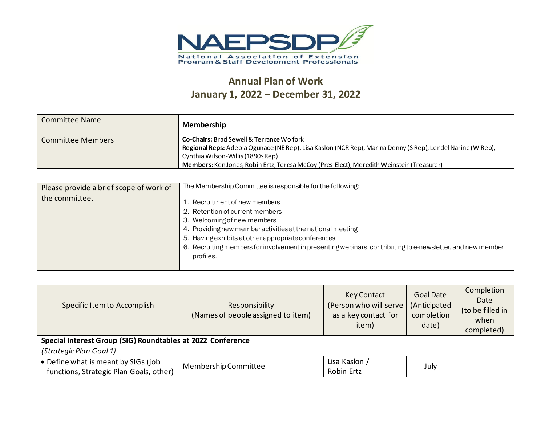

## **Annual Plan of Work January 1, 2022 – December 31, 2022**

| Committee Name    | Membership                                                                                                                                                                                               |
|-------------------|----------------------------------------------------------------------------------------------------------------------------------------------------------------------------------------------------------|
| Committee Members | <b>Co-Chairs: Brad Sewell &amp; Terrance Wolfork</b><br>Regional Reps: Adeola Ogunade (NE Rep), Lisa Kaslon (NCR Rep), Marina Denny (S Rep), Lendel Narine (W Rep),<br>Cynthia Wilson-Willis (1890s Rep) |
|                   | Members: KenJones, Robin Ertz, Teresa McCoy (Pres-Elect), Meredith Weinstein (Treasurer)                                                                                                                 |

| Please provide a brief scope of work of | The Membership Committee is responsible for the following:                                                                                                                                                                                                                                                                                      |
|-----------------------------------------|-------------------------------------------------------------------------------------------------------------------------------------------------------------------------------------------------------------------------------------------------------------------------------------------------------------------------------------------------|
| the committee.                          | 1. Recruitment of new members<br>2. Retention of current members<br>3. Welcoming of new members<br>4. Providing new member activities at the national meeting<br>5. Having exhibits at other appropriate conferences<br>6. Recruiting members for involvement in presenting webinars, contributing to e-newsletter, and new member<br>profiles. |

| Specific Item to Accomplish                                                    | Responsibility<br>(Names of people assigned to item) | <b>Key Contact</b><br>(Person who will serve<br>as a key contact for<br>item) | <b>Goal Date</b><br>(Anticipated<br>completion<br>date) | Completion<br>Date<br>(to be filled in<br>when<br>completed) |
|--------------------------------------------------------------------------------|------------------------------------------------------|-------------------------------------------------------------------------------|---------------------------------------------------------|--------------------------------------------------------------|
| Special Interest Group (SIG) Roundtables at 2022 Conference                    |                                                      |                                                                               |                                                         |                                                              |
| (Strategic Plan Goal 1)                                                        |                                                      |                                                                               |                                                         |                                                              |
| • Define what is meant by SIGs (job<br>functions, Strategic Plan Goals, other) | Membership Committee                                 | Lisa Kaslon /<br>Robin Ertz                                                   | July                                                    |                                                              |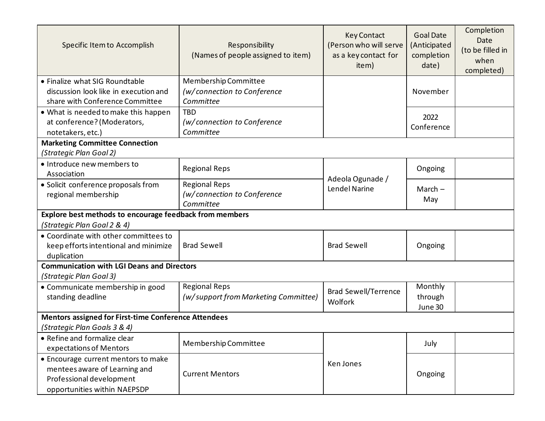| Specific Item to Accomplish                                 | Responsibility<br>(Names of people assigned to item) | <b>Key Contact</b><br>(Person who will serve<br>as a key contact for<br>item) | <b>Goal Date</b><br>(Anticipated<br>completion<br>date) | Completion<br>Date<br>(to be filled in<br>when<br>completed) |
|-------------------------------------------------------------|------------------------------------------------------|-------------------------------------------------------------------------------|---------------------------------------------------------|--------------------------------------------------------------|
| • Finalize what SIG Roundtable                              | Membership Committee                                 |                                                                               |                                                         |                                                              |
| discussion look like in execution and                       | (w/connection to Conference                          |                                                                               | November                                                |                                                              |
| share with Conference Committee                             | Committee                                            |                                                                               |                                                         |                                                              |
| • What is needed to make this happen                        | <b>TBD</b>                                           |                                                                               | 2022                                                    |                                                              |
| at conference? (Moderators,                                 | (w/connection to Conference                          |                                                                               | Conference                                              |                                                              |
| notetakers, etc.)                                           | Committee                                            |                                                                               |                                                         |                                                              |
| <b>Marketing Committee Connection</b>                       |                                                      |                                                                               |                                                         |                                                              |
| (Strategic Plan Goal 2)                                     |                                                      |                                                                               |                                                         |                                                              |
| • Introduce new members to                                  | <b>Regional Reps</b>                                 |                                                                               | Ongoing                                                 |                                                              |
| Association                                                 |                                                      | Adeola Ogunade /                                                              |                                                         |                                                              |
| • Solicit conference proposals from                         | <b>Regional Reps</b>                                 | Lendel Narine                                                                 | March $-$                                               |                                                              |
| regional membership                                         | (w/connection to Conference                          |                                                                               | May                                                     |                                                              |
|                                                             | Committee                                            |                                                                               |                                                         |                                                              |
| Explore best methods to encourage feedback from members     |                                                      |                                                                               |                                                         |                                                              |
| (Strategic Plan Goal 2 & 4)                                 |                                                      |                                                                               |                                                         |                                                              |
| • Coordinate with other committees to                       |                                                      |                                                                               |                                                         |                                                              |
| keep efforts intentional and minimize                       | <b>Brad Sewell</b>                                   | <b>Brad Sewell</b>                                                            | Ongoing                                                 |                                                              |
| duplication                                                 |                                                      |                                                                               |                                                         |                                                              |
| <b>Communication with LGI Deans and Directors</b>           |                                                      |                                                                               |                                                         |                                                              |
| (Strategic Plan Goal 3)                                     |                                                      |                                                                               |                                                         |                                                              |
| • Communicate membership in good                            | <b>Regional Reps</b>                                 | <b>Brad Sewell/Terrence</b>                                                   | Monthly                                                 |                                                              |
| standing deadline                                           | (w/support from Marketing Committee)                 | Wolfork                                                                       | through                                                 |                                                              |
|                                                             |                                                      |                                                                               | June 30                                                 |                                                              |
| <b>Mentors assigned for First-time Conference Attendees</b> |                                                      |                                                                               |                                                         |                                                              |
| (Strategic Plan Goals 3 & 4)                                |                                                      |                                                                               |                                                         |                                                              |
| • Refine and formalize clear                                | Membership Committee                                 |                                                                               | July                                                    |                                                              |
| expectations of Mentors                                     |                                                      |                                                                               |                                                         |                                                              |
| • Encourage current mentors to make                         |                                                      | Ken Jones                                                                     |                                                         |                                                              |
| mentees aware of Learning and                               | <b>Current Mentors</b>                               |                                                                               | Ongoing                                                 |                                                              |
| Professional development                                    |                                                      |                                                                               |                                                         |                                                              |
| opportunities within NAEPSDP                                |                                                      |                                                                               |                                                         |                                                              |